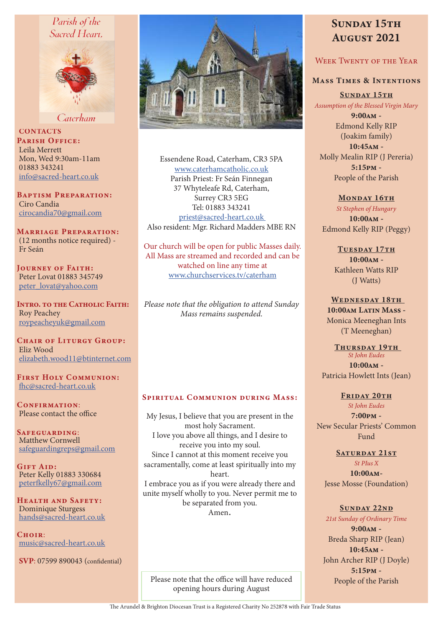# Parish of the Sacred Heart.



Caterham

**CONTACTS** PARISH OFFICE: Leila Merrett Mon, Wed 9:30am-11am 01883 343241 info@sacred-heart.co.uk

Baptism Preparation: Ciro Candia cirocandia70@gmail.com

Marriage Preparation: (12 months notice required) - Fr Seán

Journey of Faith: Peter Lovat 01883 345749 peter\_lovat@yahoo.com

Intro. to the Catholic Faith: Roy Peachey roypeacheyuk@gmail.com

CHAIR OF LITURGY GROUP: Eliz Wood elizabeth.wood11@btinternet.com

First Holy Communion: fhc@sacred-heart.co.uk

CONFIRMATION: Please contact the office

Safeguarding: Matthew Cornwell safeguardingreps@gmail.com

GIFT AID: Peter Kelly 01883 330684 peterfkelly67@gmail.com

HEALTH AND SAFETY: Dominique Sturgess hands@sacred-heart.co.uk

 $C$ HOIR: music@sacred-heart.co.uk

SVP: 07599 890043 (confidential)



Essendene Road, Caterham, CR3 5PA www.caterhamcatholic.co.uk Parish Priest: Fr Seán Finnegan 37 Whyteleafe Rd, Caterham, Surrey CR3 5EG Tel: 01883 343241 priest@sacred-heart.co.uk Also resident: Mgr. Richard Madders MBE RN

Our church will be open for public Masses daily. All Mass are streamed and recorded and can be watched on line any time at www.churchservices.tv/caterham

*Please note that the obligation to attend Sunday Mass remains suspended.*

#### Spiritual Communion during Mass:

My Jesus, I believe that you are present in the most holy Sacrament. I love you above all things, and I desire to receive you into my soul. Since I cannot at this moment receive you sacramentally, come at least spiritually into my heart. I embrace you as if you were already there and unite myself wholly to you. Never permit me to be separated from you. Amen.

Please note that the office will have reduced People of the Parish opening hours during August

# SUNDAY 15TH August 2021

# WEEK TWENTY OF THE YEAR

## Mass Times & Intentions

SUNDAY 15TH *Assumption of the Blessed Virgin Mary*

9:00am - Edmond Kelly RIP (Joakim family) 10:45am - Molly Mealin RIP (J Pereria) 5:15pm - People of the Parish

MONDAY 16TH *St Stephen of Hungary* 10:00am - Edmond Kelly RIP (Peggy)

> TUESDAY 17TH 10:00am - Kathleen Watts RIP (J Watts)

WEDNESDAY 18TH 10:00am Latin Mass - Monica Meeneghan Ints (T Meeneghan)

#### THURSDAY 19TH *St John Eudes*

10:00am - Patricia Howlett Ints (Jean)

### FRIDAY 20TH

*St John Eudes* 7:00pm - New Secular Priests' Common Fund

SATURDAY 21ST

*St PIus X* 10:00am-Jesse Mosse (Foundation)

## SUNDAY 22ND

*21st Sunday of Ordinary Time* 9:00am - Breda Sharp RIP (Jean) 10:45am - John Archer RIP (J Doyle) 5:15pm -